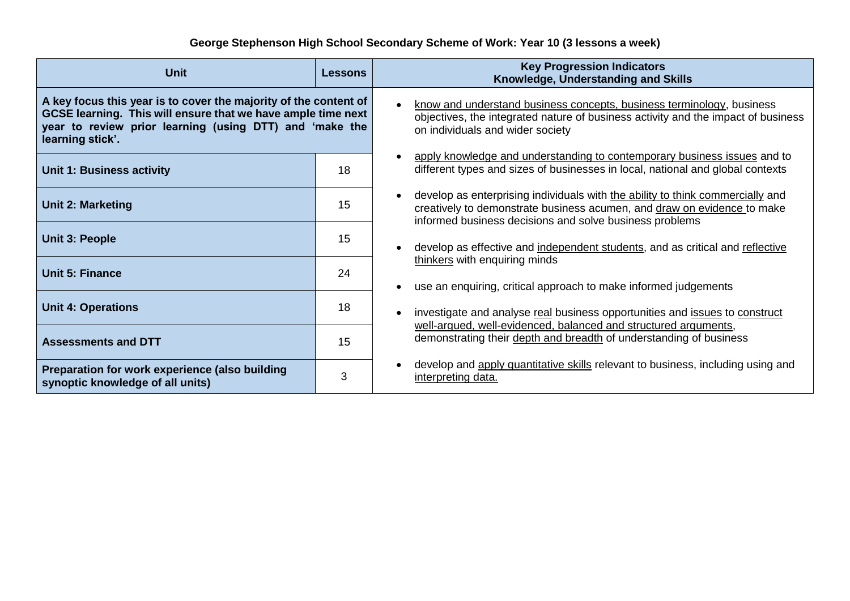## **George Stephenson High School Secondary Scheme of Work: Year 10 (3 lessons a week)**

| <b>Unit</b>                                                                                                                                                                                                     | <b>Lessons</b> | <b>Key Progression Indicators</b><br>Knowledge, Understanding and Skills                                                                                                                                             |
|-----------------------------------------------------------------------------------------------------------------------------------------------------------------------------------------------------------------|----------------|----------------------------------------------------------------------------------------------------------------------------------------------------------------------------------------------------------------------|
| A key focus this year is to cover the majority of the content of<br>GCSE learning. This will ensure that we have ample time next<br>year to review prior learning (using DTT) and 'make the<br>learning stick'. |                | know and understand business concepts, business terminology, business<br>objectives, the integrated nature of business activity and the impact of business<br>on individuals and wider society                       |
| <b>Unit 1: Business activity</b>                                                                                                                                                                                | 18             | apply knowledge and understanding to contemporary business issues and to<br>different types and sizes of businesses in local, national and global contexts                                                           |
| <b>Unit 2: Marketing</b>                                                                                                                                                                                        | 15             | develop as enterprising individuals with the ability to think commercially and<br>creatively to demonstrate business acumen, and draw on evidence to make<br>informed business decisions and solve business problems |
| <b>Unit 3: People</b>                                                                                                                                                                                           | 15             | develop as effective and independent students, and as critical and reflective                                                                                                                                        |
| <b>Unit 5: Finance</b>                                                                                                                                                                                          | 24             | thinkers with enquiring minds<br>use an enquiring, critical approach to make informed judgements                                                                                                                     |
| <b>Unit 4: Operations</b>                                                                                                                                                                                       | 18             | investigate and analyse real business opportunities and issues to construct                                                                                                                                          |
| <b>Assessments and DTT</b>                                                                                                                                                                                      | 15             | well-argued, well-evidenced, balanced and structured arguments,<br>demonstrating their depth and breadth of understanding of business                                                                                |
| Preparation for work experience (also building<br>synoptic knowledge of all units)                                                                                                                              | 3              | develop and apply quantitative skills relevant to business, including using and<br>interpreting data.                                                                                                                |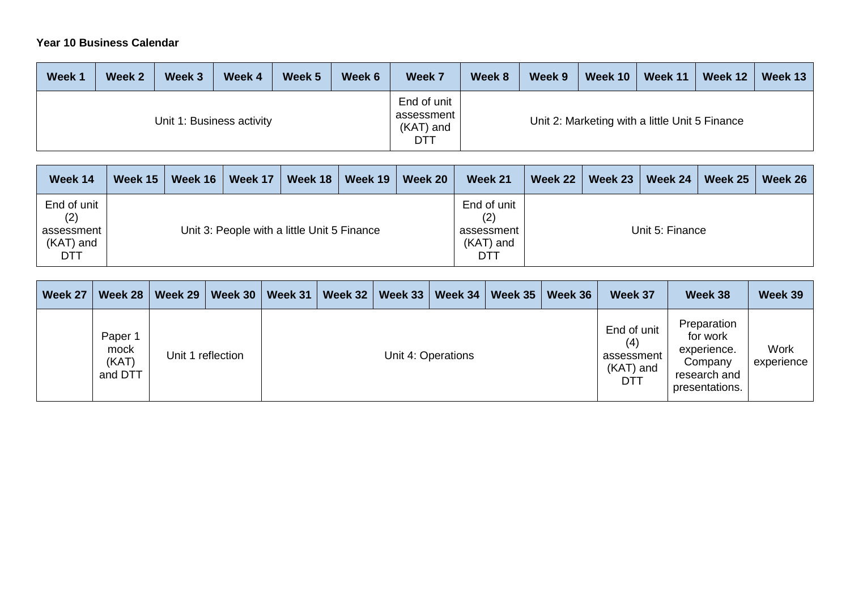## **Year 10 Business Calendar**

| Week 1                    | Week 2 | Week 3 | Week 4 | Week 5 | Week 6 | Week 7                                        | Week 8 | Week 9 | Week 10 | Week 11                                        | Week 12 | Week 13 |
|---------------------------|--------|--------|--------|--------|--------|-----------------------------------------------|--------|--------|---------|------------------------------------------------|---------|---------|
| Unit 1: Business activity |        |        |        |        |        | End of unit<br>assessment<br>(KAT) and<br>DTT |        |        |         | Unit 2: Marketing with a little Unit 5 Finance |         |         |

| Week 14                                                | Week 15 | Week $16$ | Week 17 | Week 18                                     | Week 19 | Week 20 | Week 21                                              | Week 22 | Week 23 | Week 24         | Week 25 | Week 26 |
|--------------------------------------------------------|---------|-----------|---------|---------------------------------------------|---------|---------|------------------------------------------------------|---------|---------|-----------------|---------|---------|
| End of unit<br>(2)<br>assessment<br>$(KAT)$ and<br>DTT |         |           |         | Unit 3: People with a little Unit 5 Finance |         |         | End of unit<br>(2)<br>assessment<br>(KAT) and<br>DTT |         |         | Unit 5: Finance |         |         |

| Week 27 | Week 28                             | Week 29 | Week 30           | Week 31 | Week 32 | Week $33$ | Week 34            | Week 35 | Week 36 | Week 37                                              | Week 38                                                                             | Week 39            |
|---------|-------------------------------------|---------|-------------------|---------|---------|-----------|--------------------|---------|---------|------------------------------------------------------|-------------------------------------------------------------------------------------|--------------------|
|         | Paper 1<br>mock<br>(KAT)<br>and DTT |         | Unit 1 reflection |         |         |           | Unit 4: Operations |         |         | End of unit<br>(4)<br>assessment<br>(KAT) and<br>DTT | Preparation<br>for work<br>experience.<br>Company<br>research and<br>presentations. | Work<br>experience |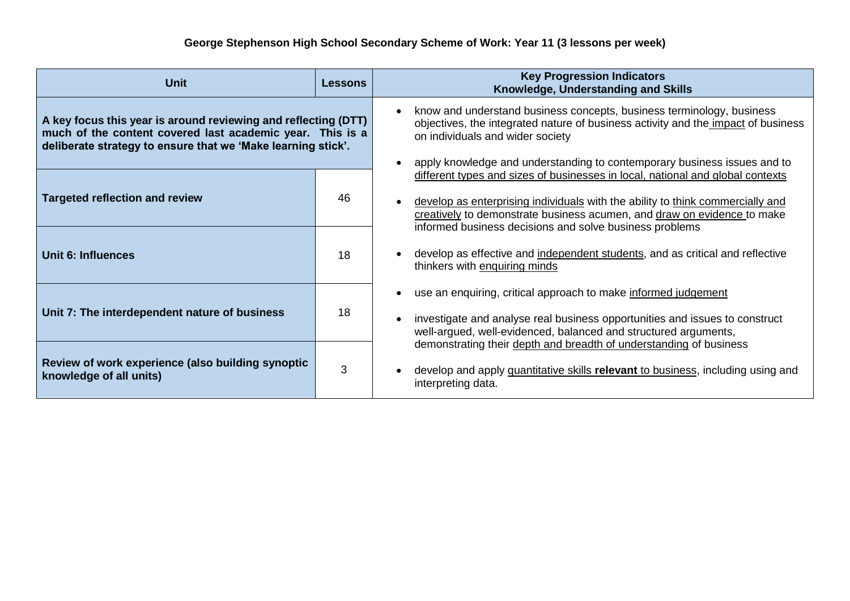| <b>Unit</b>                                                                                                                                                                                 | <b>Lessons</b> | <b>Key Progression Indicators</b><br>Knowledge, Understanding and Skills                                                                                                                                                                                                   |  |  |  |  |  |
|---------------------------------------------------------------------------------------------------------------------------------------------------------------------------------------------|----------------|----------------------------------------------------------------------------------------------------------------------------------------------------------------------------------------------------------------------------------------------------------------------------|--|--|--|--|--|
| A key focus this year is around reviewing and reflecting (DTT)<br>much of the content covered last academic year. This is a<br>deliberate strategy to ensure that we 'Make learning stick'. |                | know and understand business concepts, business terminology, business<br>objectives, the integrated nature of business activity and the impact of business<br>on individuals and wider society<br>apply knowledge and understanding to contemporary business issues and to |  |  |  |  |  |
| <b>Targeted reflection and review</b>                                                                                                                                                       | 46             | different types and sizes of businesses in local, national and global contexts<br>develop as enterprising individuals with the ability to think commercially and<br>creatively to demonstrate business acumen, and draw on evidence to make                                |  |  |  |  |  |
| Unit 6: Influences                                                                                                                                                                          | 18             | informed business decisions and solve business problems<br>develop as effective and independent students, and as critical and reflective<br>thinkers with enquiring minds                                                                                                  |  |  |  |  |  |
| Unit 7: The interdependent nature of business                                                                                                                                               | 18             | use an enquiring, critical approach to make informed judgement<br>investigate and analyse real business opportunities and issues to construct<br>well-argued, well-evidenced, balanced and structured arguments,                                                           |  |  |  |  |  |
| Review of work experience (also building synoptic<br>knowledge of all units)                                                                                                                | 3              | demonstrating their depth and breadth of understanding of business<br>develop and apply quantitative skills relevant to business, including using and<br>interpreting data.                                                                                                |  |  |  |  |  |